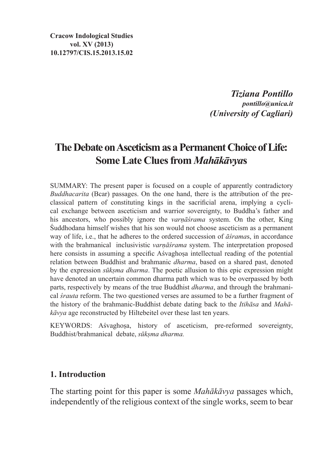**Cracow Indological Studies vol. XV (2013) 10.12797/CIS.15.2013.15.02**

> *Tiziana Pontillo pontillo@unica.it (University of Cagliari)*

# **TheDebate onAsceticism as aPermanent Choice of Life: Some Late Clues from** *Mahākāvya***s**

SUMMARY: The present paper is focused on a couple of apparently contradictory *Buddhacarita* (Bcar) passages. On the one hand, there is the attribution of the pre-classical pattern of constituting kings in the sacrificial arena, implying a cyclical exchange between asceticism and warrior sovereignty, to Buddha's father and his ancestors, who possibly ignore the *varṇāśrama* system. On the other, King Śuddhodana himself wishes that his son would not choose asceticism as a permanent way of life, i.e., that he adheres to the ordered succession of *āśrama*s, in accordance with the brahmanical inclusivistic *varnāśrama* system. The interpretation proposed here consists in assuming a specific Asvaghosa intellectual reading of the potential relation between Buddhist and brahmanic *dharma*, based on a shared past, denoted by the expression *sūkṣma dharma*. The poetic allusion to this epic expression might have denoted an uncertain common dharma path which was to be overpassed by both parts, respectively by means of the true Buddhist *dharma*, and through the brahmanical *śrauta* reform. The two questioned verses are assumed to be a further fragment of the history of the brahmanic-Buddhist debate dating back to the *Itihāsa* and *Mahākāvya* age reconstructed by Hiltebeitel over these last ten years.

KEYWORDS: Aśvaghosa, history of asceticism, pre-reformed sovereignty, Buddhist/brahmanical debate, *sūkṣma dharma.*

#### **1. Introduction**

The starting point for this paper is some *Mahākāvya* passages which, independently of the religious context of the single works, seem to bear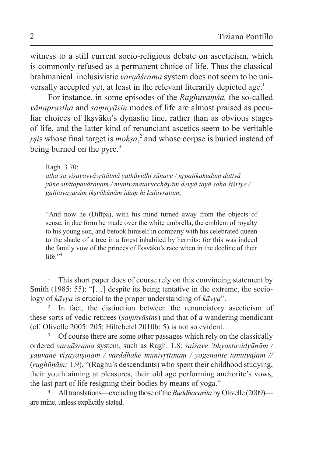witness to a still current socio-religious debate on asceticism, which is commonly refused as a permanent choice of life. Thus the classical brahmanical inclusivistic *varṇāśrama* system does not seem to be universally accepted yet, at least in the relevant literarily depicted age.<sup>1</sup>

For instance, in some episodes of the *Raghuvaṃśa,* the so-called *vānaprastha* and *saṃnyāsin* modes of life are almost praised as peculiar choices of Iksvāku's dynastic line, rather than as obvious stages of life, and the latter kind of renunciant ascetics seem to be veritable *r̥ṣi*s whose final target is *mokṣa*, 2 and whose corpse is buried instead of being burned on the pyre. $3$ 

#### Ragh. 3.70:

*atha sa viṣayavyāvr̥ttātmā yathāvidhi sūnave / nr̥patikakudaṃ dattvā yūne sitātapavāraṇam / munivanatarucchāyāṃ devyā tayā saha śiśriye / galitavayasām ikṣvākūṇām idaṃ hi kulavratam*,

"And now he (Dilīpa), with his mind turned away from the objects of sense, in due form he made over the white umbrella, the emblem of royalty to his young son, and betook himself in company with his celebrated queen to the shade of a tree in a forest inhabited by hermits: for this was indeed the family vow of the princes of Ikṣvāku's race when in the decline of their life." $4$ 

This short paper does of course rely on this convincing statement by Smith (1985: 55): "[...] despite its being tentative in the extreme, the sociology of *kāvya* is crucial to the proper understanding of *kāvya*".

<sup>&</sup>lt;sup>2</sup> In fact, the distinction between the renunciatory asceticism of these sorts of vedic retirees (*saṃnyāsin*s) and that of a wandering mendicant (cf. Olivelle 2005: 205; Hiltebetel 2010b: 5) is not so evident.

<sup>&</sup>lt;sup>3</sup> Of course there are some other passages which rely on the classically ordered *varṇāśrama* system, such as Ragh. 1.8: *śaiśave 'bhyastavidyānāṃ / yauvane viṣayaiṣiṇām / vārddhake munivr̥ttīnāṃ / yogenānte tanutyajām //* (*raghūṇām:* 1.9), "(Raghu's descendants) who spent their childhood studying, their youth aiming at pleasures, their old age performing anchorite's vows, the last part of life resigning their bodies by means of yoga."

<sup>4</sup> All translations—excluding those of the *Buddhacarita* by Olivelle (2009) are mine, unless explicitly stated.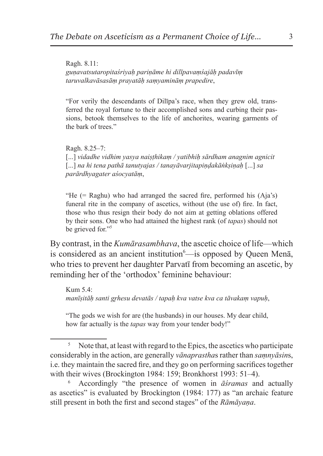Ragh. 8.11: *guṇavatsutaropitaśriyaḥ pariṇāme hi dilīpavaṃśajāḥ padavīṃ taruvalkavāsasāṃ prayatāḥ saṃyamināṃ prapedire*,

"For verily the descendants of Dilīpa's race, when they grew old, transferred the royal fortune to their accomplished sons and curbing their passions, betook themselves to the life of anchorites, wearing garments of the bark of trees."

Ragh. 8.25–7: [...] *vidadhe vidhim yasya naiṣṭhikaṃ / yatibhiḥ sārdham anagnim agnicit*  [...] *na hi tena pathā tanutyajas / tanayāvarjitapiṇḍakāṅkṣiṇaḥ* [...] *sa parārdhyagater aśocyatāṃ*,

"He (= Raghu) who had arranged the sacred fire, performed his (Aja's) funeral rite in the company of ascetics, without (the use of) fire. In fact, those who thus resign their body do not aim at getting oblations offered by their sons. One who had attained the highest rank (of *tapas*) should not be grieved for."<sup>5</sup>

By contrast, in the *Kumārasambhava*, the ascetic choice of life—which is considered as an ancient institution<sup>6</sup>—is opposed by Queen Menā, who tries to prevent her daughter Parvatī from becoming an ascetic, by reminding her of the 'orthodox' feminine behaviour:

Kum 5.4: *manīṣitāḥ santi gr̥hesu devatās / tapaḥ kva vatse kva ca tāvakaṃ vapuḥ*,

"The gods we wish for are (the husbands) in our houses. My dear child, how far actually is the *tapas* way from your tender body!"

<sup>&</sup>lt;sup>5</sup> Note that, at least with regard to the Epics, the ascetics who participate considerably in the action, are generally *vānaprastha*s rather than *saṃnyāsin*s, i.e. they maintain the sacred fire, and they go on performing sacrifices together with their wives (Brockington 1984: 159; Bronkhorst 1993: 51–4).

<sup>6</sup> Accordingly "the presence of women in *āśramas* and actually as ascetics" is evaluated by Brockington (1984: 177) as "an archaic feature still present in both the first and second stages" of the *Rāmāyaṇa*.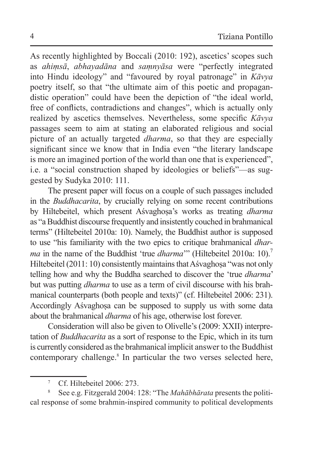As recently highlighted by Boccali (2010: 192), ascetics' scopes such as *ahiṃsā*, *abhayadāna* and *saṃnyāsa* were "perfectly integrated into Hindu ideology" and "favoured by royal patronage" in *Kāvya* poetry itself, so that "the ultimate aim of this poetic and propagandistic operation" could have been the depiction of "the ideal world, free of conflicts, contradictions and changes", which is actually only realized by ascetics themselves. Nevertheless, some specific *Kāvya* passages seem to aim at stating an elaborated religious and social picture of an actually targeted *dharma*, so that they are especially significant since we know that in India even "the literary landscape is more an imagined portion of the world than one that is experienced", i.e. a "social construction shaped by ideologies or beliefs"—as suggested by Sudyka 2010: 111.

The present paper will focus on a couple of such passages included in the *Buddhacarita*, by crucially relying on some recent contributions by Hiltebeitel, which present Aśvaghosa's works as treating *dharma* as "aBuddhist discourse frequently and insistently couched in brahmanical terms" (Hiltebeitel 2010a: 10). Namely, the Buddhist author is supposed to use "his familiarity with the two epics to critique brahmanical *dharma* in the name of the Buddhist 'true *dharma*'" (Hiltebeitel 2010a: 10).<sup>7</sup> Hiltebeitel (2011: 10) consistently maintains that Aśvaghoṣa "was not only telling how and why the Buddha searched to discover the 'true *dharma*' but was putting *dharma* to use as a term of civil discourse with his brahmanical counterparts (both people and texts)" (cf. Hiltebeitel 2006: 231). Accordingly Aśvaghosa can be supposed to supply us with some data about the brahmanical *dharma* of his age, otherwise lost forever.

Consideration will also be given to Olivelle's (2009: XXII) interpretation of *Buddhacarita* as a sort of response to the Epic, which in its turn is currently considered asthe brahmanical implicit answer to the Buddhist contemporary challenge.<sup>8</sup> In particular the two verses selected here,

Cf. Hiltebeitel 2006: 273.

<sup>8</sup> See e.g. Fitzgerald 2004: 128: "The *Mahābhārata* presents the political response of some brahmin-inspired community to political developments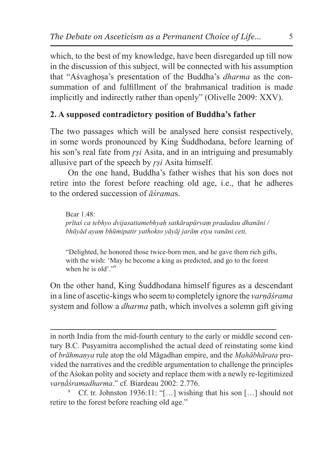which, to the best of my knowledge, have been disregarded up till now in the discussion of this subject, will be connected with his assumption that "Aśvaghoṣa's presentation of the Buddha's *dharma* as the consummation of and fulfillment of the brahmanical tradition is made implicitly and indirectly rather than openly" (Olivelle 2009: XXV).

# **2. A supposed contradictory position of Buddha's father**

The two passages which will be analysed here consist respectively, in some words pronounced by King Śuddhodana, before learning of his son's real fate from *rsi* Asita, and in an intriguing and presumably allusive part of the speech by *r̥ṣi* Asita himself.

On the one hand, Buddha's father wishes that his son does not retire into the forest before reaching old age, i.e., that he adheres to the ordered succession of *āśrama*s.

Bcar  $1.48$ *prītaś ca tebhyo dvijasattamebhyaḥ satkārapūrvaṃ pradadau dhanāni / bhūyād ayaṃ bhūmipatir yathokto yāyāj jarāṃ etya vanāni ceti,*

"Delighted, he honored those twice-born men, and he gave them rich gifts, with the wish: 'May he become a king as predicted, and go to the forest when he is old'."<sup>9</sup>

On the other hand, King Śuddhodana himself figures as a descendant in a line of ascetic-kings who seem to completely ignore the *varṇāśrama* system and follow a *dharma* path, which involves a solemn gift giving

in north India from the mid-fourth century to the early or middle second century B.C. Puṣyamitra accomplished the actual deed of reinstating some kind of *brāhmaṇya* rule atop the old Māgadhan empire, and the *Mahābhārata* provided the narratives and the credible argumentation to challenge the principles of the Aśokan polity and society and replace them with a newly re-legitimized *varṇā́śramadharma*." cf. Biardeau 2002: 2.776.

Cf. tr. Johnston 1936:11: " $[...]$  wishing that his son  $[...]$  should not retire to the forest before reaching old age."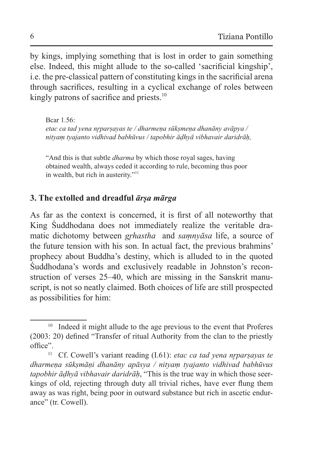by kings, implying something that is lost in order to gain something else. Indeed, this might allude to the so-called 'sacrificial kingship', i.e. the pre-classical pattern of constituting kings in the sacrificial arena through sacrifices, resulting in a cyclical exchange of roles between kingly patrons of sacrifice and priests.<sup>10</sup>

Bcar 1.56: *etac ca tad yena nr̥parṣayas te / dharmeṇa sūkṣmeṇa dhanāny avāpya / nityaṃ tyajanto vidhivad babhūvus / tapobhir āḍhyā vibhavair daridrāḥ,*

"And this is that subtle *dharma* by which those royal sages, having obtained wealth, always ceded it according to rule, becoming thus poor in wealth, but rich in austerity."<sup>11</sup>

### **3. The extolled and dreadful** *ārṣa mārga*

As far as the context is concerned, it is first of all noteworthy that King Śuddhodana does not immediately realize the veritable dramatic dichotomy between *gr̥hastha* and *saṃnyāsa* life, a source of the future tension with his son. In actual fact, the previous brahmins' prophecy about Buddha's destiny, which is alluded to in the quoted Śuddhodana's words and exclusively readable in Johnston's reconstruction of verses 25–40, which are missing in the Sanskrit manuscript, is not so neatly claimed. Both choices of life are still prospected as possibilities for him:

<sup>&</sup>lt;sup>10</sup> Indeed it might allude to the age previous to the event that Proferes (2003: 20) defined "Transfer of ritual Authority from the clan to the priestly office".

<sup>11</sup> Cf. Cowell's variant reading (I.61): *etac ca tad yena nr̥parṣayas te dharmeṇa sūkṣmāṇi dhanāny apāsya / nityaṃ tyajanto vidhivad babhūvus tapobhir āḍhyā vibhavair daridrāḥ*, "This is the true way in which those seerkings of old, rejecting through duty all trivial riches, have ever flung them away as was right, being poor in outward substance but rich in ascetic endurance" (tr. Cowell).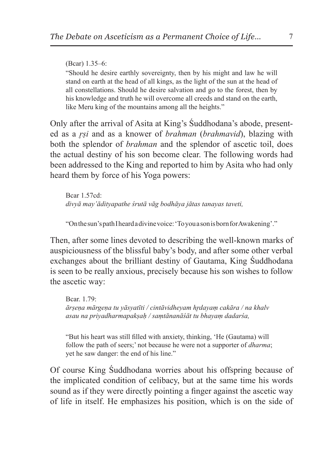(Bcar) 1.35–6: "Should he desire earthly sovereignty, then by his might and law he will stand on earth at the head of all kings, as the light of the sun at the head of all constellations. Should he desire salvation and go to the forest, then by his knowledge and truth he will overcome all creeds and stand on the earth, like Meru king of the mountains among all the heights."

Only after the arrival of Asita at King's Śuddhodana's abode, presented as a *r̥ṣi* and as a knower of *brahman* (*brahmavid*), blazing with both the splendor of *brahman* and the splendor of ascetic toil, does the actual destiny of his son become clear. The following words had been addressed to the King and reported to him by Asita who had only heard them by force of his Yoga powers:

Bcar 1.57cd: *divyā may'ādityapathe śrutā vāg bodhāya jātas tanayas taveti,*

"Onthesun's path Iheard adivine voice:'Toyouason isborn for Awakening'."

Then, after some lines devoted to describing the well-known marks of auspiciousness of the blissful baby's body, and after some other verbal exchanges about the brilliant destiny of Gautama, King Śuddhodana is seen to be really anxious, precisely because his son wishes to follow the ascetic way:

Bcar. 1.79: *ārṣeṇa mārgeṇa tu yāsyatīti / cintāvidheyam hr̥dayaṃ cakāra / na khalv asau na priyadharmapakṣaḥ / saṃtānanāśāt tu bhayaṃ dadarśa,* 

"But his heart was still filled with anxiety, thinking, 'He (Gautama) will follow the path of seers;' not because he were not a supporter of *dharma*; yet he saw danger: the end of his line."

Of course King Śuddhodana worries about his offspring because of the implicated condition of celibacy, but at the same time his words sound as if they were directly pointing a finger against the ascetic way of life in itself. He emphasizes his position, which is on the side of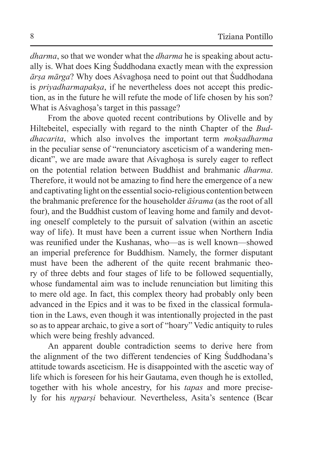*dharma*, so that we wonder what the *dharma* he is speaking about actually is. What does King Śuddhodana exactly mean with the expression *ārṣa mārga*? Why does Aśvaghoṣa need to point out that Śuddhodana is *priyadharmapakṣa*, if he nevertheless does not accept this prediction, as in the future he will refute the mode of life chosen by his son? What is Aśvaghosa's target in this passage?

From the above quoted recent contributions by Olivelle and by Hiltebeitel, especially with regard to the ninth Chapter of the *Buddhacarita*, which also involves the important term *mokṣadharma* in the peculiar sense of "renunciatory asceticism of a wandering mendicant", we are made aware that Asvaghosa is surely eager to reflect on the potential relation between Buddhist and brahmanic *dharma*. Therefore, it would not be amazing to find here the emergence of a new and captivating light on the essential socio-religious contention between the brahmanic preference for the householder *āśrama* (as the root of all four), and the Buddhist custom of leaving home and family and devoting oneself completely to the pursuit of salvation (within an ascetic way of life). It must have been a current issue when Northern India was reunified under the Kushanas, who—as is well known—showed an imperial preference for Buddhism. Namely, the former disputant must have been the adherent of the quite recent brahmanic theory of three debts and four stages of life to be followed sequentially, whose fundamental aim was to include renunciation but limiting this to mere old age. In fact, this complex theory had probably only been advanced in the Epics and it was to be fixed in the classical formulation in the Laws, even though it was intentionally projected in the past so as to appear archaic, to give a sort of "hoary" Vedic antiquity to rules which were being freshly advanced.

An apparent double contradiction seems to derive here from the alignment of the two different tendencies of King Śuddhodana's attitude towards asceticism. He is disappointed with the ascetic way of life which is foreseen for his heir Gautama, even though he is extolled, together with his whole ancestry, for his *tapas* and more precisely for his *nr̥parṣi* behaviour. Nevertheless, Asita's sentence (Bcar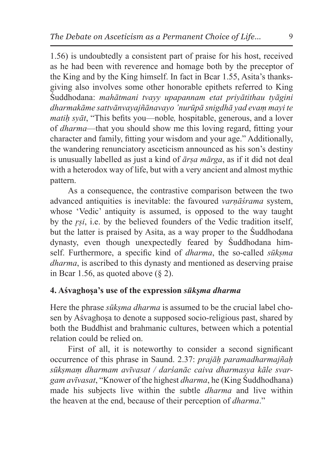1.56) is undoubtedly a consistent part of praise for his host, received as he had been with reverence and homage both by the preceptor of the King and by the King himself. In fact in Bcar 1.55, Asita's thanksgiving also involves some other honorable epithets referred to King Śuddhodana: *mahātmani tvayy upapannam etat priyātithau tyāgini dharmakāme sattvānvayajñānavayo 'nurūpā snigdhā yad evaṃ mayi te matiḥ syāt*, "This befits you—noble*,* hospitable, generous, and a lover of *dharma*—that you should show me this loving regard, fitting your character and family, fitting your wisdom and your age." Additionally, the wandering renunciatory asceticism announced as his son's destiny is unusually labelled as just a kind of *ārṣa mārga*, as if it did not deal with a heterodox way of life, but with a very ancient and almost mythic pattern.

As a consequence, the contrastive comparison between the two advanced antiquities is inevitable: the favoured *varṇāśrama* system, whose 'Vedic' antiquity is assumed, is opposed to the way taught by the *r̥ṣi*, i.e. by the believed founders of the Vedic tradition itself, but the latter is praised by Asita, as a way proper to the Śuddhodana dynasty, even though unexpectedly feared by Śuddhodana himself. Furthermore, a specific kind of *dharma*, the so-called *sūkṣma dharma*, is ascribed to this dynasty and mentioned as deserving praise in Bcar 1.56, as quoted above  $(8, 2)$ .

### **4. Aśvaghoṣa's use of the expression** *sūkṣma dharma*

Here the phrase *sūkṣma dharma* is assumed to be the crucial label chosen by Aśvaghoṣa to denote a supposed socio-religious past, shared by both the Buddhist and brahmanic cultures, between which a potential relation could be relied on.

First of all, it is noteworthy to consider a second significant occurrence of this phrase in Saund. 2.37: *prajāḥ paramadharmajñaḥ sūkṣmaṃ dharmam avīvasat / darśanāc caiva dharmasya kāle svargam avīvasat*, "Knower of the highest *dharma*, he (King Śuddhodhana) made his subjects live within the subtle *dharma* and live within the heaven at the end, because of their perception of *dharma*."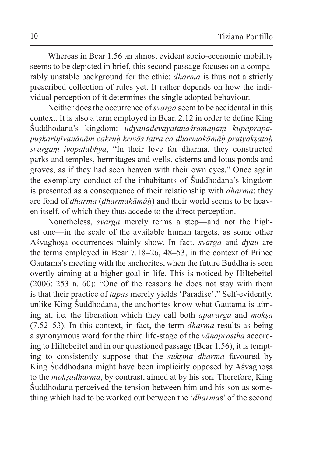Whereas in Bcar 1.56 an almost evident socio-economic mobility seems to be depicted in brief, this second passage focuses on a comparably unstable background for the ethic: *dharma* is thus not a strictly prescribed collection of rules yet. It rather depends on how the individual perception of it determines the single adopted behaviour.

Neither does the occurrence of *svarga* seem to be accidental in this context. It is also a term employed in Bcar. 2.12 in order to define King Śuddhodana's kingdom: *udyānadevāyatanāśramāṇāṃ kūpaprapāpuṣkariṇīvanānām cakruḥ kriyās tatra ca dharmakāmāḥ pratyakṣataḥ svargaṃ ivopalabhya*, "In their love for dharma, they constructed parks and temples, hermitages and wells, cisterns and lotus ponds and groves, as if they had seen heaven with their own eyes." Once again the exemplary conduct of the inhabitants of Śuddhodana's kingdom is presented as a consequence of their relationship with *dharma*: they are fond of *dharma* (*dharmakāmāḥ*) and their world seems to be heaven itself, of which they thus accede to the direct perception.

Nonetheless, *svarga* merely terms a step—and not the highest one—in the scale of the available human targets, as some other Aśvaghoṣa occurrences plainly show. In fact, *svarga* and *dyau* are the terms employed in Bcar 7.18–26, 48–53, in the context of Prince Gautama's meeting with the anchorites, when the future Buddha is seen overtly aiming at a higher goal in life. This is noticed by Hiltebeitel (2006: 253 n. 60): "One of the reasons he does not stay with them is that their practice of *tapas* merely yields 'Paradise'." Self-evidently, unlike King Śuddhodana, the anchorites know what Gautama is aiming at, i.e. the liberation which they call both *apavarga* and *mokṣa* (7.52–53). In this context, in fact, the term *dharma* results as being a synonymous word for the third life-stage of the *vānaprastha* according to Hiltebeitel and in our questioned passage (Bcar 1.56), it is tempting to consistently suppose that the *sūkṣma dharma* favoured by King Śuddhodana might have been implicitly opposed by Asvaghosa to the *mokṣadharma*, by contrast, aimed at by his son*.* Therefore, King Śuddhodana perceived the tension between him and his son as something which had to be worked out between the '*dharma*s' of the second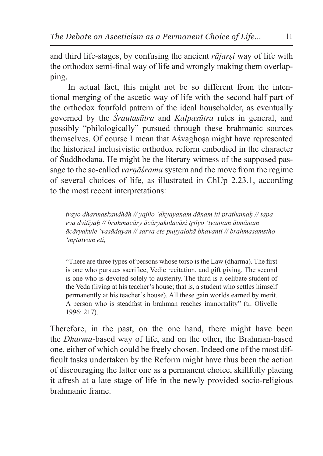and third life-stages, by confusing the ancient *rājarṣi* way of life with the orthodox semi-final way of life and wrongly making them overlapping.

In actual fact, this might not be so different from the intentional merging of the ascetic way of life with the second half part of the orthodox fourfold pattern of the ideal householder, as eventually governed by the *Śrautasūtra* and *Kalpasūtra* rules in general, and possibly "philologically" pursued through these brahmanic sources themselves. Of course I mean that Aśvaghoṣa might have represented the historical inclusivistic orthodox reform embodied in the character of Śuddhodana. He might be the literary witness of the supposed passage to the so-called *varṇāśrama* system and the move from the regime of several choices of life, as illustrated in ChUp 2.23.1, according to the most recent interpretations:

*trayo dharmaskandhāḥ // yajño 'dhyayanam dānam iti prathamaḥ // tapa eva dvitīyaḥ // brahmacāry ācāryakulavāsi tr̥tīyo 'tyantam ātmānam ācāryakule 'vasādayan // sarva ete puṇyalokā bhavanti // brahmasaṃstho 'mr̥tatvam eti,*

"There are three types of persons whose torso is the Law (dharma). The first is one who pursues sacrifice, Vedic recitation, and gift giving. The second is one who is devoted solely to austerity. The third is a celibate student of the Veda (living at his teacher's house; that is, a student who settles himself permanently at his teacher's house). All these gain worlds earned by merit. A person who is steadfast in brahman reaches immortality" (tr. Olivelle 1996: 217).

Therefore, in the past, on the one hand, there might have been the *Dharma*-based way of life, and on the other, the Brahman-based one, either of which could be freely chosen. Indeed one of the most difficult tasks undertaken by the Reform might have thus been the action of discouraging the latter one as a permanent choice, skillfully placing it afresh at a late stage of life in the newly provided socio-religious brahmanic frame.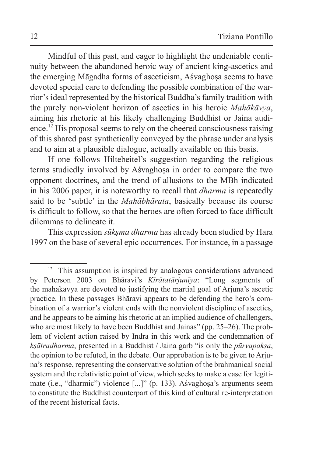Mindful of this past, and eager to highlight the undeniable continuity between the abandoned heroic way of ancient king-ascetics and the emerging Māgadha forms of asceticism, Aśvaghosa seems to have devoted special care to defending the possible combination of the warrior's ideal represented by the historical Buddha's family tradition with the purely non-violent horizon of ascetics in his heroic *Mahākāvya*, aiming his rhetoric at his likely challenging Buddhist or Jaina audience.<sup>12</sup> His proposal seems to rely on the cheered consciousness raising of this shared past synthetically conveyed by the phrase under analysis and to aim at a plausible dialogue, actually available on this basis.

If one follows Hiltebeitel's suggestion regarding the religious terms studiedly involved by Aśvaghoṣa in order to compare the two opponent doctrines, and the trend of allusions to the MBh indicated in his 2006 paper, it is noteworthy to recall that *dharma* is repeatedly said to be 'subtle' in the *Mahābhārata*, basically because its course is difficult to follow, so that the heroes are often forced to face difficult dilemmas to delineate it.

This expression *sūkṣma dharma* has already been studied by Hara 1997 on the base of several epic occurrences. For instance, in a passage

<sup>12</sup> This assumption is inspired by analogous considerations advanced by Peterson 2003 on Bhāravi's *Kīrātatārjunīya*: "Long segments of the mahākāvya are devoted to justifying the martial goal of Arjuna's ascetic practice. In these passages Bhāravi appears to be defending the hero's combination of a warrior's violent ends with the nonviolent discipline of ascetics, and he appears to be aiming his rhetoric at an implied audience of challengers, who are most likely to have been Buddhist and Jainas" (pp. 25–26). The problem of violent action raised by Indra in this work and the condemnation of *kṣātradharma*, presented in a Buddhist / Jaina garb "is only the *pūrvapakṣa*, the opinion to be refuted, in the debate. Our approbation is to be given to Arjuna's response, representing the conservative solution of the brahmanical social system and the relativistic point of view, which seeks to make a case for legitimate (i.e., "dharmic") violence [...]" (p. 133). Aśvaghoṣa's arguments seem to constitute the Buddhist counterpart of this kind of cultural re-interpretation of the recent historical facts.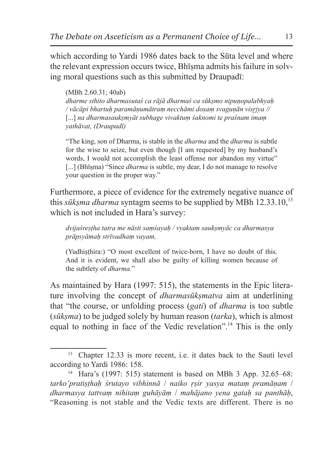which according to Yardi 1986 dates back to the Sūta level and where the relevant expression occurs twice. Bh<del>isma</del> admits his failure in solving moral questions such as this submitted by Draupadī:

(MBh 2.60.31; 40ab) *dharme sthito dharmasutaś ca rājā dharmaś ca sūkṣmo nipuṇopalabhyaḥ / vācāpi bhartuḥ paramāṇumātraṃ necchāmi doṣaṃ svaguṇān visr̥jya //*  [...] *na dharmasaukṣmyāt subhage vivaktuṃ śaknomi te praśnam imaṃ yathāvat, (Draupadī)*

"The king, son of Dharma, is stable in the *dharma* and the *dharma* is subtle for the wise to seize, but even though [I am requested] by my husband's words, I would not accomplish the least offense nor abandon my virtue" [...] (Bhisma) "Since *dharma* is subtle, my dear, I do not manage to resolve your question in the proper way."

Furthermore, a piece of evidence for the extremely negative nuance of this *sūksma dharma* syntagm seems to be supplied by MBh  $12.33.10$ ,<sup>13</sup> which is not included in Hara's survey:

*dvijaśreṣṭha tatra me nāsti saṃśayaḥ / vyaktaṃ saukṣmyāc ca dharmasya prāpsyāmaḥ strīvadhaṃ vayam,*

(Yudhisthira:) "O most excellent of twice-born, I have no doubt of this. And it is evident, we shall also be guilty of killing women because of the subtlety of *dharma.*"

As maintained by Hara (1997: 515), the statements in the Epic literature involving the concept of *dharmasūkṣmatva* aim at underlining that "the course, or unfolding process (*gati*) of *dharma* is too subtle (*sūkṣma*) to be judged solely by human reason (*tarka*), which is almost equal to nothing in face of the Vedic revelation".<sup>14</sup> This is the only

<sup>&</sup>lt;sup>13</sup> Chapter 12.33 is more recent, i.e. it dates back to the Sauti level according to Yardi 1986: 158.

<sup>14</sup> Hara's (1997: 515) statement is based on MBh 3 App. 32.65–68: *tarko'pratiṣṭhaḥ śrutayo vibhinnā* / *naiko ṛṣir yasya mataṃ pramāṇam* / *dharmasya tattvaṃ nihitaṃ guhāyāṃ* / *mahājano yena gataḥ sa panthāḥ*, "Reasoning is not stable and the Vedic texts are different. There is no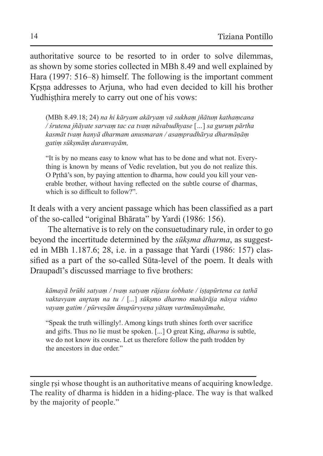authoritative source to be resorted to in order to solve dilemmas, as shown by some stories collected in MBh 8.49 and well explained by Hara (1997: 516–8) himself. The following is the important comment Krsna addresses to Arjuna, who had even decided to kill his brother Yudhisthira merely to carry out one of his vows:

(MBh 8.49.18; 24) *na hi kāryam akāryaṃ vā sukhaṃ jñātuṃ kathaṃcana / śrutena jñāyate sarvaṃ tac ca tvaṃ nāvabudhyase* [*…*] *sa guruṃ pārtha kasmāt tvaṃ hanyā dharmam anusmaran / asaṃpradhārya dharmāṇāṃ gatiṃ sūkṣmāṃ duranvayām,*

"It is by no means easy to know what has to be done and what not. Everything is known by means of Vedic revelation, but you do not realize this. O Prthā's son, by paying attention to dharma, how could you kill your venerable brother, without having reflected on the subtle course of dharmas, which is so difficult to follow?"

It deals with a very ancient passage which has been classified as a part of the so-called "original Bhārata" by Yardi (1986: 156).

The alternative is to rely on the consuetudinary rule, in order to go beyond the incertitude determined by the *sūkṣma dharma*, as suggested in MBh 1.187.6; 28, i.e. in a passage that Yardi (1986: 157) classified as a part of the so-called Sūta-level of the poem. It deals with Draupadī's discussed marriage to five brothers:

*kāmayā brūhi satyaṃ / tvaṃ satyaṃ rājasu śobhate / iṣṭapūrtena ca tathā vaktavyam anr̥taṃ na tu /* [*...*] *sūkṣmo dharmo mahārāja nāsya vidmo vayaṃ gatim / pūrveṣām ānupūrvyeṇa yātaṃ vartmānuyāmahe,*

"Speak the truth willingly!. Among kings truth shines forth over sacrifice and gifts. Thus no lie must be spoken. [...] O great King, *dharma* is subtle, we do not know its course. Let us therefore follow the path trodden by the ancestors in due order."

single rsi whose thought is an authoritative means of acquiring knowledge. The reality of dharma is hidden in a hiding-place. The way is that walked by the majority of people."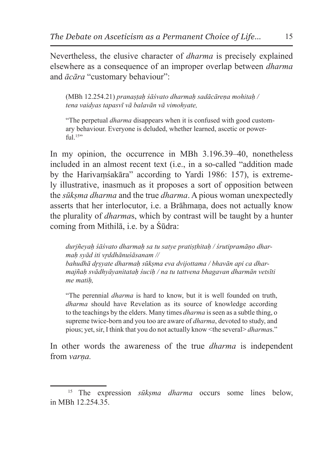Nevertheless, the elusive character of *dharma* is precisely explained elsewhere as a consequence of an improper overlap between *dharma* and *ācāra* "customary behaviour":

(MBh 12.254.21) *pranaṣṭaḥ śāśvato dharmaḥ sadācāreṇa mohitaḥ / tena vaidyas tapasvī vā balavān vā vimohyate,*

"The perpetual *dharma* disappears when it is confused with good customary behaviour. Everyone is deluded, whether learned, ascetic or power $f_{11}$ ]. 15"

In my opinion, the occurrence in MBh 3.196.39–40, nonetheless included in an almost recent text (i.e., in a so-called "addition made by the Harivaṃśakāra" according to Yardi 1986: 157), is extremely illustrative, inasmuch as it proposes a sort of opposition between the *sūkṣma dharma* and the true *dharma*. A pious woman unexpectedly asserts that her interlocutor, i.e. a Brāhmana, does not actually know the plurality of *dharma*s, which by contrast will be taught by a hunter coming from Mithilā, i.e. by a Śūdra:

*durjñeyaḥ śāśvato dharmaḥ sa tu satye pratiṣṭhitaḥ / śrutipramāṇo dharmaḥ syād iti vr̥ddhānuśāsanam // bahudhā dr̥ṣyate dharmaḥ sūkṣma eva dvijottama / bhavān api ca dharmajñaḥ svādhyāyanitataḥ śuciḥ / na tu tattvena bhagavan dharmān vetsīti* 

*me matiḥ,*

"The perennial *dharma* is hard to know, but it is well founded on truth, *dharma* should have Revelation as its source of knowledge according to the teachings by the elders. Many times *dharma* isseen as a subtle thing, o supreme twice-born and you too are aware of *dharma*, devoted to study, and pious; yet, sir, I think that you do not actually know <the several> *dharma*s."

In other words the awareness of the true *dharma* is independent from *varna*.

<sup>15</sup> The expression *sūkṣma dharma* occurs some lines below, in MBh 12.254.35.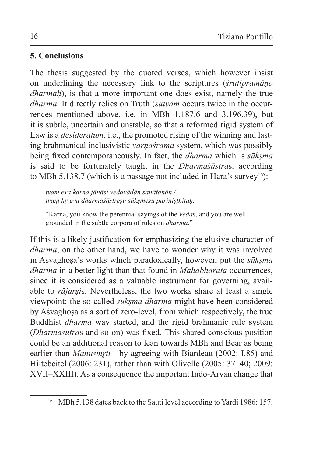# **5. Conclusions**

The thesis suggested by the quoted verses, which however insist on underlining the necessary link to the scriptures (*śrutipramāṇo dharmah*), is that a more important one does exist, namely the true *dharma*. It directly relies on Truth (*satyam* occurs twice in the occurrences mentioned above, i.e. in MBh 1.187.6 and 3.196.39), but it is subtle, uncertain and unstable, so that a reformed rigid system of Law is a *desideratum*, i.e., the promoted rising of the winning and lasting brahmanical inclusivistic *varṇāśrama* system, which was possibly being fixed contemporaneously. In fact, the *dharma* which is *sūkṣma* is said to be fortunately taught in the *Dharmaśāstra*s, according to MBh 5.138.7 (which is a passage not included in Hara's survey<sup>16</sup>):

*tvam eva karṇa jānāsi vedavādān sanātanān / tvaṃ hy eva dharmaśāstreṣu sūkṣmeṣu pariniṣṭhitaḥ,*

"Karṇa, you know the perennial sayings of the *Veda*s, and you are well grounded in the subtle corpora of rules on *dharma*."

If this is a likely justification for emphasizing the elusive character of *dharma*, on the other hand, we have to wonder why it was involved in Aśvaghoṣa's works which paradoxically, however, put the *sūkṣma dharma* in a better light than that found in *Mahābhārata* occurrences, since it is considered as a valuable instrument for governing, available to *rājarṣi*s. Nevertheless, the two works share at least a single viewpoint: the so-called *sūkṣma dharma* might have been considered by Aśvaghoṣa as a sort of zero-level, from which respectively, the true Buddhist *dharma* way started, and the rigid brahmanic rule system (*Dharmasūtra*s and so on) was fixed. This shared conscious position could be an additional reason to lean towards MBh and Bcar as being earlier than *Manusmrti*—by agreeing with Biardeau (2002: I.85) and Hiltebeitel (2006: 231), rather than with Olivelle (2005: 37–40; 2009: XVII–XXIII). As a consequence the important Indo-Aryan change that

<sup>&</sup>lt;sup>16</sup> MBh 5.138 dates back to the Sauti level according to Yardi 1986: 157.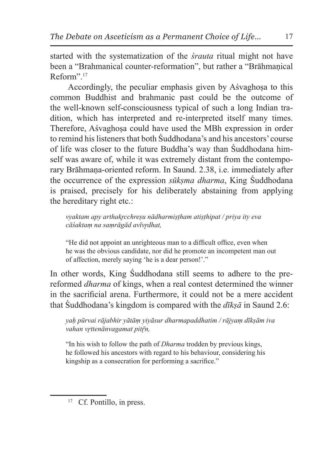started with the systematization of the *śrauta* ritual might not have been a "Brahmanical counter-reformation", but rather a "Brāhmanical Reform".<sup>17</sup>

Accordingly, the peculiar emphasis given by Aśvaghoṣa to this common Buddhist and brahmanic past could be the outcome of the well-known self-consciousness typical of such a long Indian tradition, which has interpreted and re-interpreted itself many times. Therefore, Aśvaghosa could have used the MBh expression in order to remind his listeners that both Śuddhodana's and his ancestors' course of life was closer to the future Buddha's way than Śuddhodana himself was aware of, while it was extremely distant from the contemporary Brāhmaṇa-oriented reform. In Saund. 2.38, i.e. immediately after the occurrence of the expression *sūkṣma dharma*, King Śuddhodana is praised, precisely for his deliberately abstaining from applying the hereditary right etc.:

*vyaktam apy arthakr̥cchreṣu nādharmiṣṭham atiṣṭhipat / priya ity eva cāśaktaṃ na saṃrāgād avīvr̥dhat,*

"He did not appoint an unrighteous man to a difficult office, even when he was the obvious candidate, nor did he promote an incompetent man out of affection, merely saying 'he is a dear person!'."

In other words, King Śuddhodana still seems to adhere to the prereformed *dharma* of kings, when a real contest determined the winner in the sacrificial arena. Furthermore, it could not be a mere accident that Śuddhodana's kingdom is compared with the *dīkṣā* in Saund 2.6:

*yaḥ pūrvai rājabhir yātāṃ yiyāsur dharmapaddhatim / rājyaṃ dīkṣām iva vahan vr*ttenānvagamat pitrņ,

"In his wish to follow the path of *Dharma* trodden by previous kings, he followed his ancestors with regard to his behaviour, considering his kingship as a consecration for performing a sacrifice."

<sup>&</sup>lt;sup>17</sup> Cf. Pontillo, in press.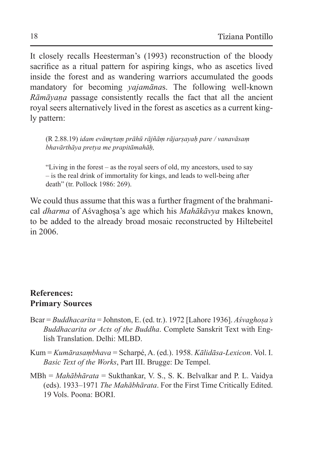It closely recalls Heesterman's (1993) reconstruction of the bloody sacrifice as a ritual pattern for aspiring kings, who as ascetics lived inside the forest and as wandering warriors accumulated the goods mandatory for becoming *yajamāna*s. The following well-known *Rāmāyaṇa* passage consistently recalls the fact that all the ancient royal seers alternatively lived in the forest as ascetics as a current kingly pattern:

(R 2.88.19) *idam evāmr̥taṃ prāhū rājñāṃ rājarṣayaḥ pare / vanavāsaṃ bhavārthāya pretya me prapitāmahāḥ,*

"Living in the forest – as the royal seers of old, my ancestors, used to say – is the real drink of immortality for kings, and leads to well-being after death" (tr. Pollock 1986: 269).

We could thus assume that this was a further fragment of the brahmanical *dharma* of Aśvaghoṣa's age which his *Mahākāvya* makes known, to be added to the already broad mosaic reconstructed by Hiltebeitel in 2006.

### **References: Primary Sources**

- Bcar = *Buddhacarita* = Johnston, E. (ed. tr.). 1972 [Lahore 1936]. *Aśvaghoṣa's Buddhacarita or Acts of the Buddha*. Complete Sanskrit Text with English Translation. Delhi: MLBD.
- Kum = *Kumārasaṃbhava* = Scharpé, A. (ed.). 1958. *Kālidāsa-Lexicon*. Vol. I. *Basic Text of the Works*, Part III. Brugge: De Tempel.
- MBh = *Mahābhārata* = Sukthankar, V. S., S. K. Belvalkar and P. L. Vaidya (eds). 1933–1971 *The Mahābhārata*. For the First Time Critically Edited. 19 Vols. Poona: BORI.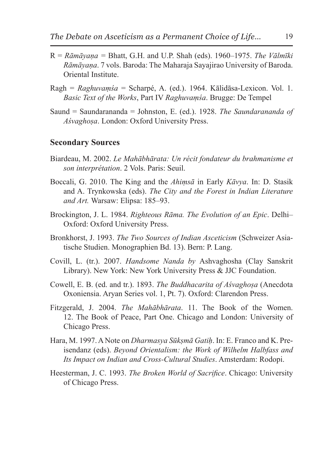- R = *Rāmāyaṇa =* Bhatt, G.H. and U.P. Shah (eds). 1960–1975. *The Vālmīki Rāmāyaṇa*. 7 vols. Baroda: The Maharaja Sayajirao University of Baroda. Oriental Institute.
- Ragh = *Raghuvaṃśa* = Scharpé, A. (ed.). 1964. Kālidāsa-Lexicon. Vol. 1. *Basic Text of the Works*, Part IV *Raghuvaṃśa*. Brugge: De Tempel
- Saund = Saundarananda = Johnston, E. (ed.). 1928. *The Saundarananda of Aśvaghoṣa*. London: Oxford University Press.

#### **Secondary Sources**

- Biardeau, M. 2002. *Le Mahābhārata: Un récit fondateur du brahmanisme et son interprétation*. 2 Vols. Paris: Seuil.
- Boccali, G. 2010. The King and the *Ahiṃsā* in Early *Kāvya*. In: D. Stasik and A. Trynkowska (eds). *The City and the Forest in Indian Literature and Art.* Warsaw: Elipsa: 185–93.
- Brockington, J. L. 1984. *Righteous Rāma. The Evolution of an Epic*. Delhi– Oxford: Oxford University Press.
- Bronkhorst, J. 1993. *The Two Sources of Indian Asceticism* (Schweizer Asiatische Studien. Monographien Bd. 13). Bern: P. Lang.
- Covill, L. (tr.). 2007. *Handsome Nanda by* Ashvaghosha (Clay Sanskrit Library). New York: New York University Press & JJC Foundation.
- Cowell, E. B. (ed. and tr.). 1893. *The Buddhacarita of Aśvaghoṣa* (Anecdota Oxoniensia. Aryan Series vol. 1, Pt. 7). Oxford: Clarendon Press.
- Fitzgerald, J. 2004. *The Mahābhārata*. 11. The Book of the Women. 12. The Book of Peace, Part One. Chicago and London: University of Chicago Press.
- Hara, M. 1997. ANote on *Dharmasya Sūkṣmā Gatiḥ*. In: E. Franco and K. Preisendanz (eds). *Beyond Orientalism: the Work of Wilhelm Halbfass and Its Impact on Indian and Cross-Cultural Studies*. Amsterdam: Rodopi.
- Heesterman, J. C. 1993. *The Broken World of Sacrifice*. Chicago: University of Chicago Press.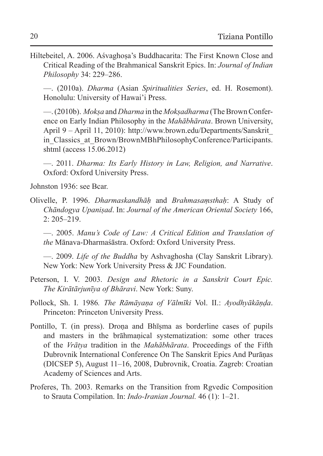Hiltebeitel, A. 2006. Aśvaghoṣa's Buddhacarita: The First Known Close and Critical Reading of the Brahmanical Sanskrit Epics. In: *Journal of Indian Philosophy* 34: 229–286.

—. (2010a). *Dharma* (Asian *Spiritualities Series*, ed. H. Rosemont). Honolulu: University of Hawai'i Press.

—. (2010b). *Mokṣa* and *Dharma* in the *Mokṣadharma* (TheBrown Conference on Early Indian Philosophy in the *Mahābhārata*. Brown University, April 9 – April 11, 2010): http://www.brown.edu/Departments/Sanskrit\_ in Classics at Brown/BrownMBhPhilosophyConference/Participants. shtml (access 15.06.2012)

—. 2011. *Dharma: Its Early History in Law, Religion, and Narrative*. Oxford: Oxford University Press.

Johnston 1936: see Bcar.

Olivelle, P. 1996. *Dharmaskandhāḥ* and *Brahmasaṃsthaḥ*: A Study of *Chāndogya Upaniṣad*. In: *Journal of the American Oriental Society* 166, 2: 205–219.

—. 2005. *Manu's Code of Law: A Critical Edition and Translation of the* Mānava-Dharmaśāstra. Oxford: Oxford University Press.

—. 2009. *Life of the Buddha* by Ashvaghosha (Clay Sanskrit Library). New York: New York University Press & JJC Foundation.

- Peterson, I. V. 2003. *Design and Rhetoric in a Sanskrit Court Epic. The Kirātārjunīya of Bhāravi*. New York: Suny.
- Pollock, Sh. I. 1986*. The Rāmāyaṇa of Vālmīki* Vol. II.: *Ayodhyākāṇḍa*. Princeton: Princeton University Press.
- Pontillo, T. (in press). Droṇa and Bhīṣma as borderline cases of pupils and masters in the brāhmaṇical systematization: some other traces of the *Vrātya* tradition in the *Mahābhārata*. Proceedings of the Fifth Dubrovnik International Conference On The Sanskrit Epics And Purāṇas (DICSEP 5), August 11–16, 2008, Dubrovnik, Croatia. Zagreb: Croatian Academy of Sciences and Arts.
- Proferes, Th. 2003. Remarks on the Transition from Rgvedic Composition to Srauta Compilation. In: *Indo-Iranian Journal.* 46 (1): 1–21.